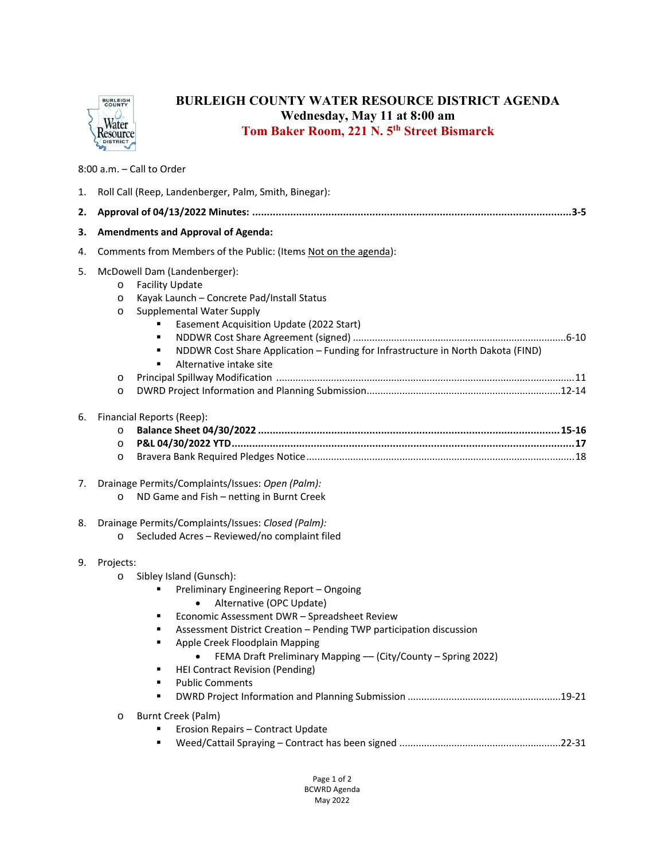

## **BURLEIGH COUNTY WATER RESOURCE DISTRICT AGENDA Wednesday, May 11 at 8:00 am Tom Baker Room, 221 N. 5th Street Bismarck**

8:00 a.m. – Call to Order

| 1. | Roll Call (Reep, Landenberger, Palm, Smith, Binegar):                                                                                                                                                                                                                                                                                                                                                                                                      |
|----|------------------------------------------------------------------------------------------------------------------------------------------------------------------------------------------------------------------------------------------------------------------------------------------------------------------------------------------------------------------------------------------------------------------------------------------------------------|
| 2. |                                                                                                                                                                                                                                                                                                                                                                                                                                                            |
| З. | <b>Amendments and Approval of Agenda:</b>                                                                                                                                                                                                                                                                                                                                                                                                                  |
| 4. | Comments from Members of the Public: (Items Not on the agenda):                                                                                                                                                                                                                                                                                                                                                                                            |
| 5. | McDowell Dam (Landenberger):<br><b>Facility Update</b><br>$\circ$<br>Kayak Launch - Concrete Pad/Install Status<br>$\circ$<br><b>Supplemental Water Supply</b><br>$\circ$<br>Easement Acquisition Update (2022 Start)<br>٠<br>NDDWR Cost Share Application - Funding for Infrastructure in North Dakota (FIND)<br>٠<br>Alternative intake site<br>٠<br>O<br>$\circ$                                                                                        |
| 6. | Financial Reports (Reep):<br>$\circ$<br>$\circ$<br>$\circ$                                                                                                                                                                                                                                                                                                                                                                                                 |
| 7. | Drainage Permits/Complaints/Issues: Open (Palm):<br>ND Game and Fish - netting in Burnt Creek<br>$\circ$                                                                                                                                                                                                                                                                                                                                                   |
| 8. | Drainage Permits/Complaints/Issues: Closed (Palm):<br>Secluded Acres - Reviewed/no complaint filed<br>$\circ$                                                                                                                                                                                                                                                                                                                                              |
| 9. | Projects:<br>Sibley Island (Gunsch):<br>$\circ$<br>Preliminary Engineering Report - Ongoing<br>٠<br>Alternative (OPC Update)<br>$\bullet$<br>Economic Assessment DWR - Spreadsheet Review<br>٠<br>Assessment District Creation - Pending TWP participation discussion<br>٠<br>Apple Creek Floodplain Mapping<br>٠<br>FEMA Draft Preliminary Mapping - (City/County - Spring 2022)<br><b>HEI Contract Revision (Pending)</b><br><b>Public Comments</b><br>٠ |
|    | Burnt Creek (Palm)<br>$\circ$<br>Erosion Repairs - Contract Update                                                                                                                                                                                                                                                                                                                                                                                         |